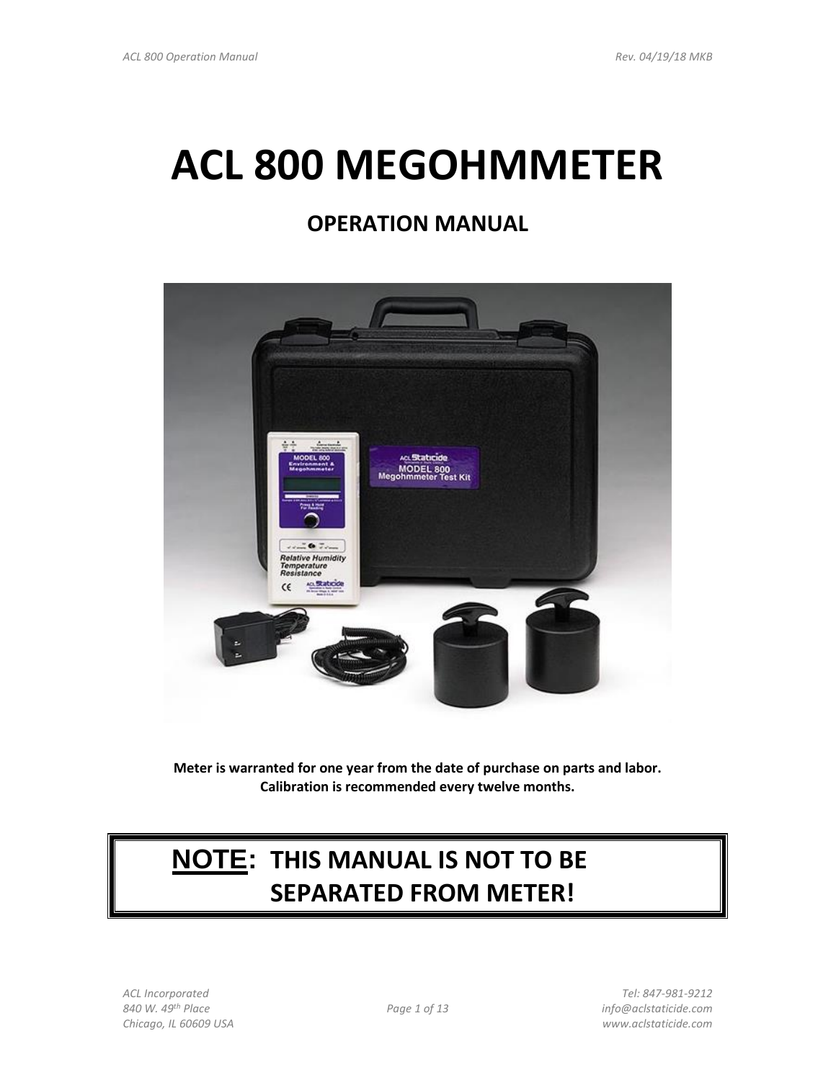# **ACL 800 MEGOHMMETER**

# **OPERATION MANUAL**



**Meter is warranted for one year from the date of purchase on parts and labor. Calibration is recommended every twelve months.**

# **NOTE: THIS MANUAL IS NOT TO BE SEPARATED FROM METER!**

*840 W. 49th Place Page 1 of 13 info@aclstaticide.com Chicago, IL 60609 USA www.aclstaticide.com*

*ACL Incorporated Tel: 847-981-9212*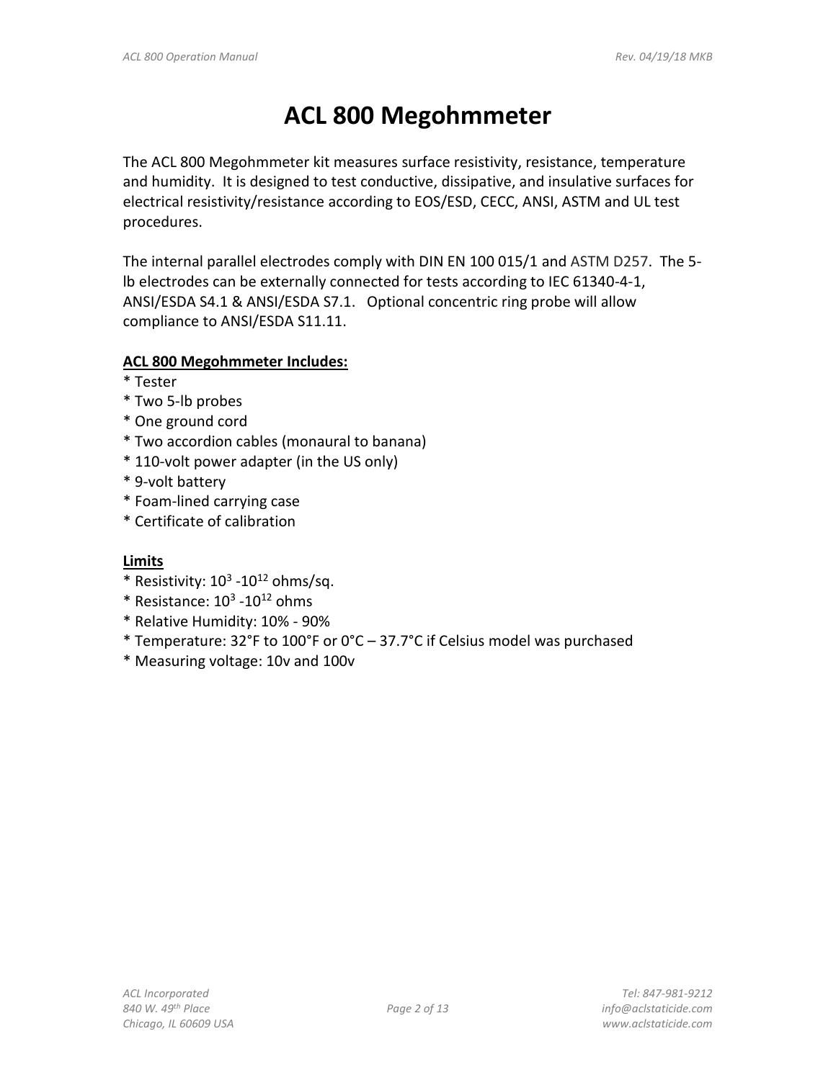# **ACL 800 Megohmmeter**

The ACL 800 Megohmmeter kit measures surface resistivity, resistance, temperature and humidity. It is designed to test conductive, dissipative, and insulative surfaces for electrical resistivity/resistance according to EOS/ESD, CECC, ANSI, ASTM and UL test procedures.

The internal parallel electrodes comply with DIN EN 100 015/1 and ASTM D257. The 5 lb electrodes can be externally connected for tests according to IEC 61340-4-1, ANSI/ESDA S4.1 & ANSI/ESDA S7.1. Optional concentric ring probe will allow compliance to ANSI/ESDA S11.11.

### **ACL 800 Megohmmeter Includes:**

- \* Tester
- \* Two 5-lb probes
- \* One ground cord
- \* Two accordion cables (monaural to banana)
- \* 110-volt power adapter (in the US only)
- \* 9-volt battery
- \* Foam-lined carrying case
- \* Certificate of calibration

# **Limits**

- $*$  Resistivity:  $10^3$  -10<sup>12</sup> ohms/sq.
- $*$  Resistance:  $10^3$  - $10^{12}$  ohms
- \* Relative Humidity: 10% 90%
- \* Temperature: 32°F to 100°F or 0°C 37.7°C if Celsius model was purchased
- \* Measuring voltage: 10v and 100v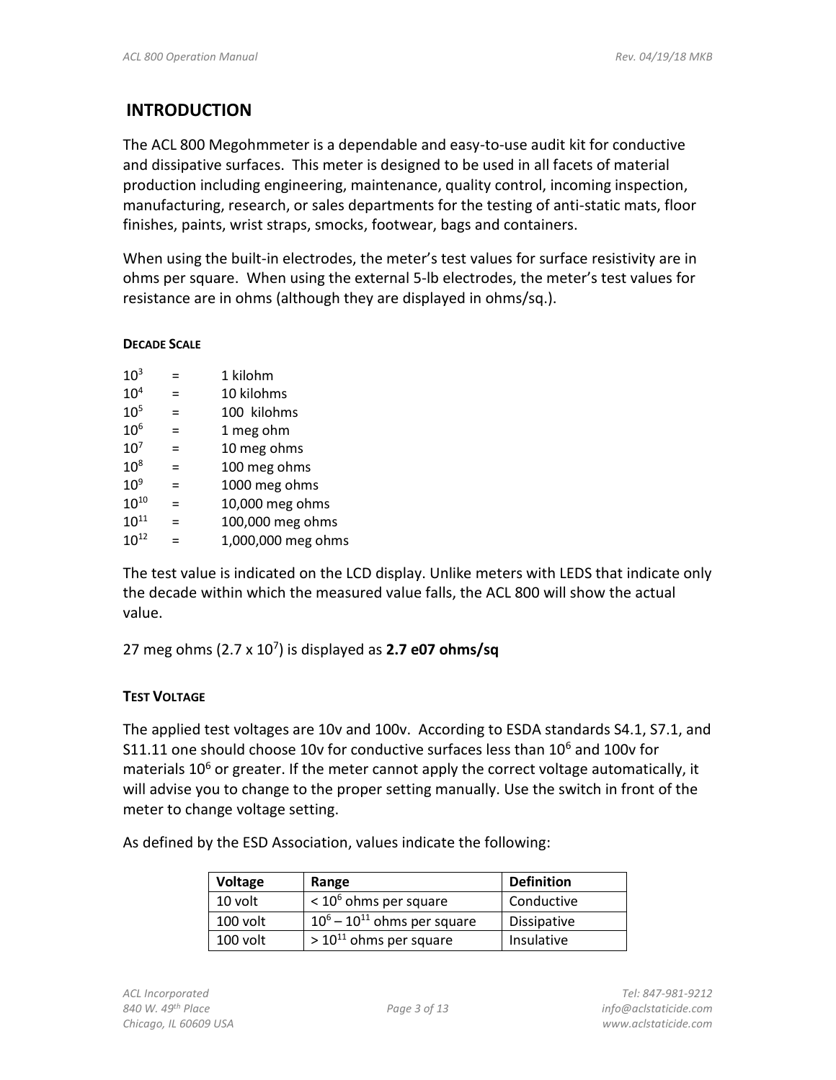## **INTRODUCTION**

The ACL 800 Megohmmeter is a dependable and easy-to-use audit kit for conductive and dissipative surfaces. This meter is designed to be used in all facets of material production including engineering, maintenance, quality control, incoming inspection, manufacturing, research, or sales departments for the testing of anti-static mats, floor finishes, paints, wrist straps, smocks, footwear, bags and containers.

When using the built-in electrodes, the meter's test values for surface resistivity are in ohms per square. When using the external 5-lb electrodes, the meter's test values for resistance are in ohms (although they are displayed in ohms/sq.).

#### **DECADE SCALE**

| 10 <sup>3</sup> |     | 1 kilohm           |  |
|-----------------|-----|--------------------|--|
| 10 <sup>4</sup> | $=$ | 10 kilohms         |  |
| 10 <sup>5</sup> | =   | 100 kilohms        |  |
| 10 <sup>6</sup> | $=$ | 1 meg ohm          |  |
| 10 <sup>7</sup> | $=$ | 10 meg ohms        |  |
| $10^8$          | $=$ | 100 meg ohms       |  |
| $10^9$          | $=$ | 1000 meg ohms      |  |
| $10^{10}$       | =   | 10,000 meg ohms    |  |
| $10^{11}$       | $=$ | 100,000 meg ohms   |  |
| $10^{12}$       |     | 1,000,000 meg ohms |  |

The test value is indicated on the LCD display. Unlike meters with LEDS that indicate only the decade within which the measured value falls, the ACL 800 will show the actual value.

27 meg ohms (2.7 x 10<sup>7</sup> ) is displayed as **2.7 e07 ohms/sq**

#### **TEST VOLTAGE**

The applied test voltages are 10v and 100v. According to ESDA standards S4.1, S7.1, and S11.11 one should choose 10v for conductive surfaces less than  $10^6$  and 100v for materials  $10<sup>6</sup>$  or greater. If the meter cannot apply the correct voltage automatically, it will advise you to change to the proper setting manually. Use the switch in front of the meter to change voltage setting.

As defined by the ESD Association, values indicate the following:

| Voltage    | Range                               | <b>Definition</b>  |
|------------|-------------------------------------|--------------------|
| 10 volt    | $<$ 10 <sup>6</sup> ohms per square | Conductive         |
| $100$ volt | $10^6 - 10^{11}$ ohms per square    | <b>Dissipative</b> |
| $100$ volt | $> 10^{11}$ ohms per square         | Insulative         |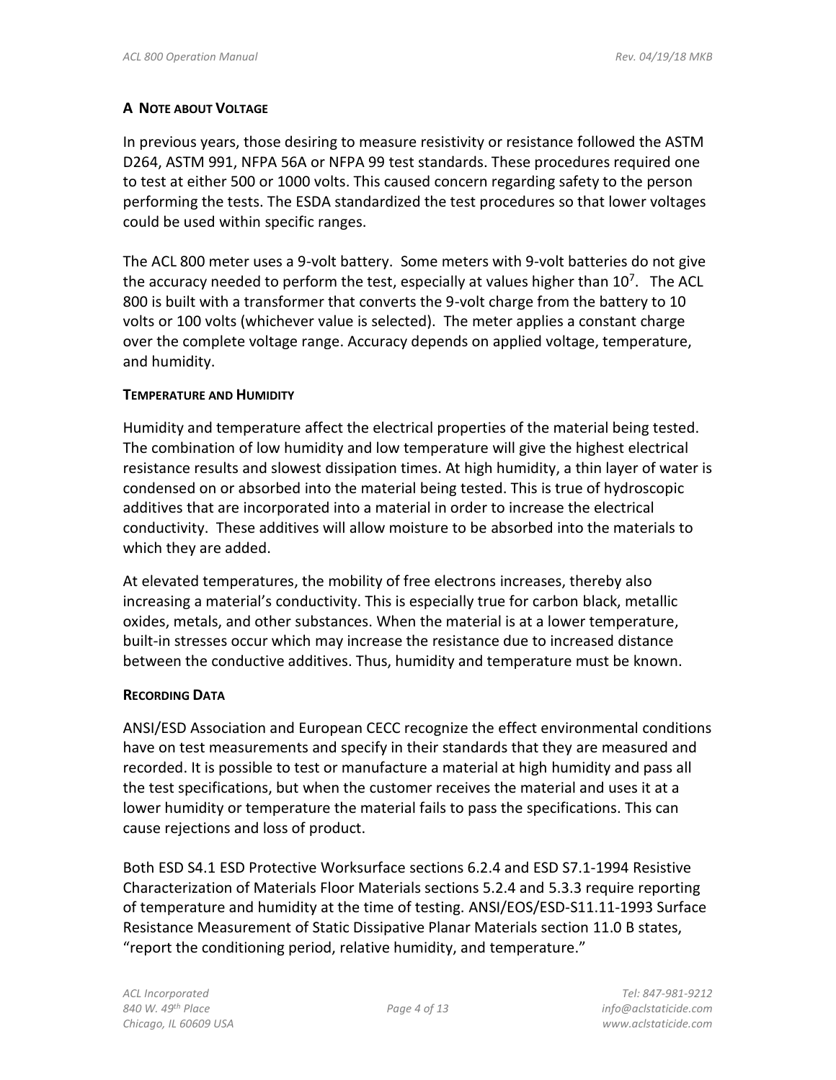#### **A NOTE ABOUT VOLTAGE**

In previous years, those desiring to measure resistivity or resistance followed the ASTM D264, ASTM 991, NFPA 56A or NFPA 99 test standards. These procedures required one to test at either 500 or 1000 volts. This caused concern regarding safety to the person performing the tests. The ESDA standardized the test procedures so that lower voltages could be used within specific ranges.

The ACL 800 meter uses a 9-volt battery. Some meters with 9-volt batteries do not give the accuracy needed to perform the test, especially at values higher than  $10^7$ . The ACL 800 is built with a transformer that converts the 9-volt charge from the battery to 10 volts or 100 volts (whichever value is selected). The meter applies a constant charge over the complete voltage range. Accuracy depends on applied voltage, temperature, and humidity.

#### **TEMPERATURE AND HUMIDITY**

Humidity and temperature affect the electrical properties of the material being tested. The combination of low humidity and low temperature will give the highest electrical resistance results and slowest dissipation times. At high humidity, a thin layer of water is condensed on or absorbed into the material being tested. This is true of hydroscopic additives that are incorporated into a material in order to increase the electrical conductivity. These additives will allow moisture to be absorbed into the materials to which they are added.

At elevated temperatures, the mobility of free electrons increases, thereby also increasing a material's conductivity. This is especially true for carbon black, metallic oxides, metals, and other substances. When the material is at a lower temperature, built-in stresses occur which may increase the resistance due to increased distance between the conductive additives. Thus, humidity and temperature must be known.

#### **RECORDING DATA**

ANSI/ESD Association and European CECC recognize the effect environmental conditions have on test measurements and specify in their standards that they are measured and recorded. It is possible to test or manufacture a material at high humidity and pass all the test specifications, but when the customer receives the material and uses it at a lower humidity or temperature the material fails to pass the specifications. This can cause rejections and loss of product.

Both ESD S4.1 ESD Protective Worksurface sections 6.2.4 and ESD S7.1-1994 Resistive Characterization of Materials Floor Materials sections 5.2.4 and 5.3.3 require reporting of temperature and humidity at the time of testing. ANSI/EOS/ESD-S11.11-1993 Surface Resistance Measurement of Static Dissipative Planar Materials section 11.0 B states, "report the conditioning period, relative humidity, and temperature."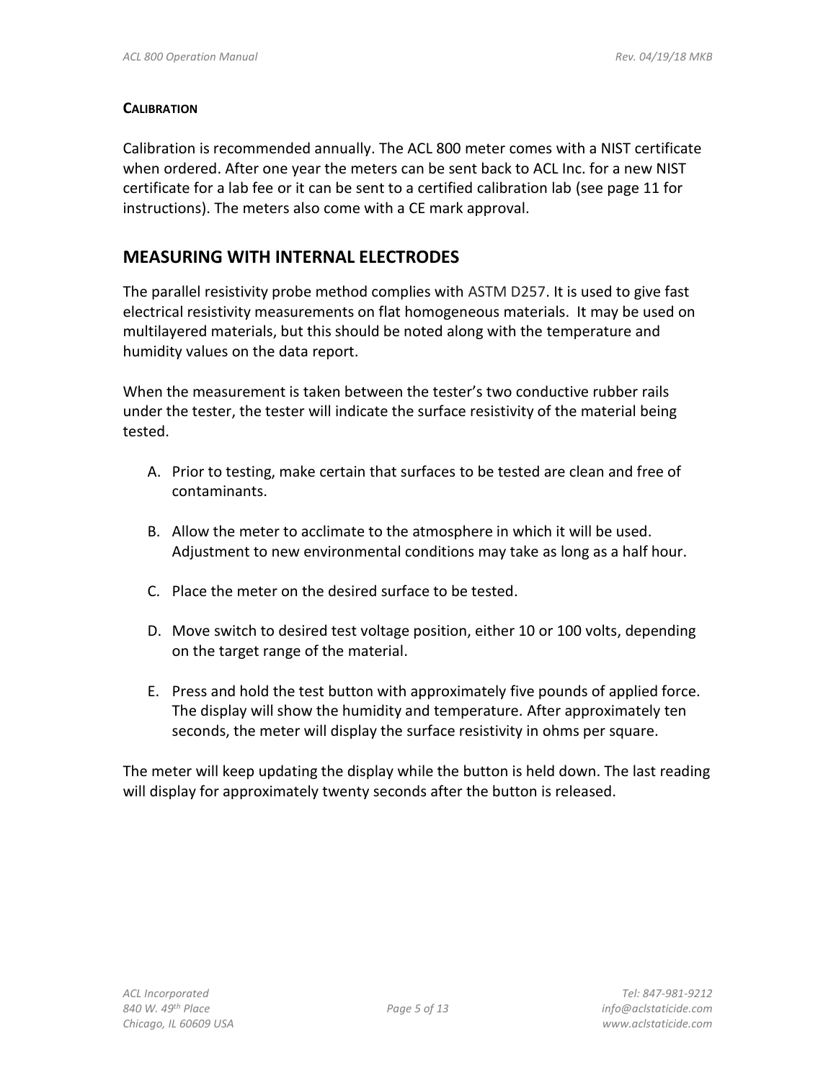#### **CALIBRATION**

Calibration is recommended annually. The ACL 800 meter comes with a NIST certificate when ordered. After one year the meters can be sent back to ACL Inc. for a new NIST certificate for a lab fee or it can be sent to a certified calibration lab (see page 11 for instructions). The meters also come with a CE mark approval.

### **MEASURING WITH INTERNAL ELECTRODES**

The parallel resistivity probe method complies with ASTM D257. It is used to give fast electrical resistivity measurements on flat homogeneous materials. It may be used on multilayered materials, but this should be noted along with the temperature and humidity values on the data report.

When the measurement is taken between the tester's two conductive rubber rails under the tester, the tester will indicate the surface resistivity of the material being tested.

- A. Prior to testing, make certain that surfaces to be tested are clean and free of contaminants.
- B. Allow the meter to acclimate to the atmosphere in which it will be used. Adjustment to new environmental conditions may take as long as a half hour.
- C. Place the meter on the desired surface to be tested.
- D. Move switch to desired test voltage position, either 10 or 100 volts, depending on the target range of the material.
- E. Press and hold the test button with approximately five pounds of applied force. The display will show the humidity and temperature. After approximately ten seconds, the meter will display the surface resistivity in ohms per square.

The meter will keep updating the display while the button is held down. The last reading will display for approximately twenty seconds after the button is released.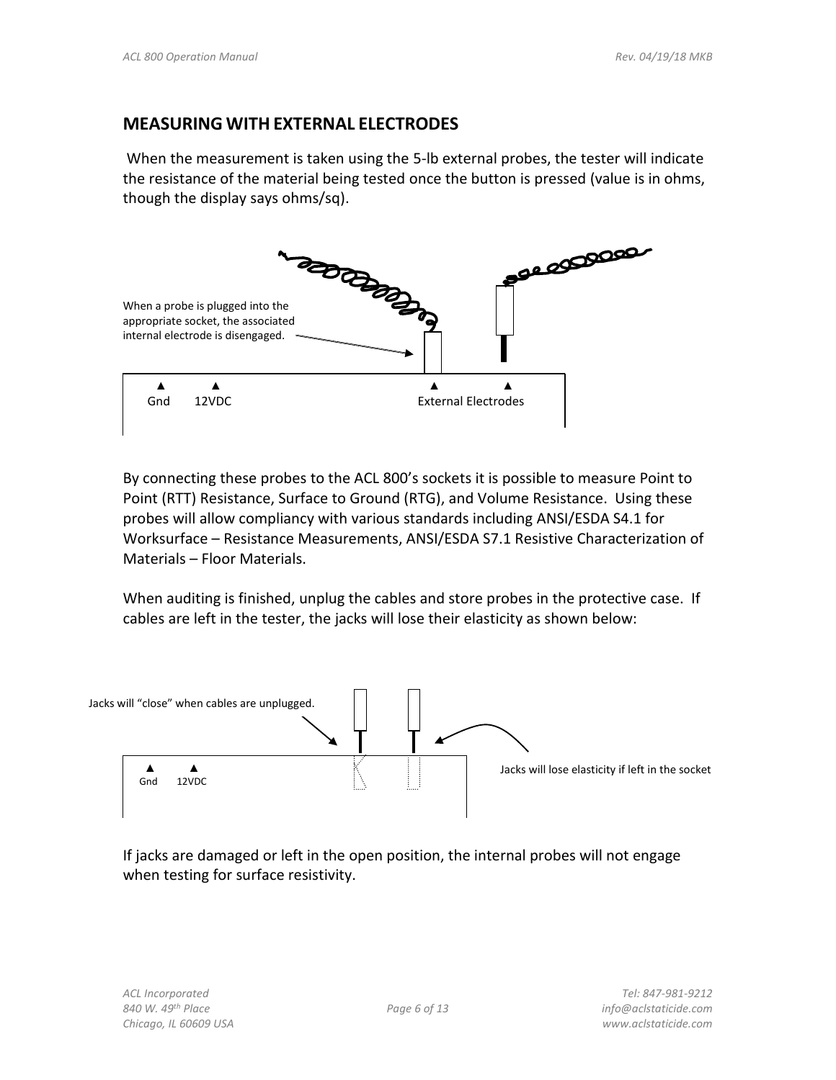### **MEASURING WITH EXTERNAL ELECTRODES**

When the measurement is taken using the 5-lb external probes, the tester will indicate the resistance of the material being tested once the button is pressed (value is in ohms, though the display says ohms/sq).



By connecting these probes to the ACL 800's sockets it is possible to measure Point to Point (RTT) Resistance, Surface to Ground (RTG), and Volume Resistance. Using these probes will allow compliancy with various standards including ANSI/ESDA S4.1 for Worksurface – Resistance Measurements, ANSI/ESDA S7.1 Resistive Characterization of Materials – Floor Materials.

When auditing is finished, unplug the cables and store probes in the protective case. If cables are left in the tester, the jacks will lose their elasticity as shown below:



If jacks are damaged or left in the open position, the internal probes will not engage when testing for surface resistivity.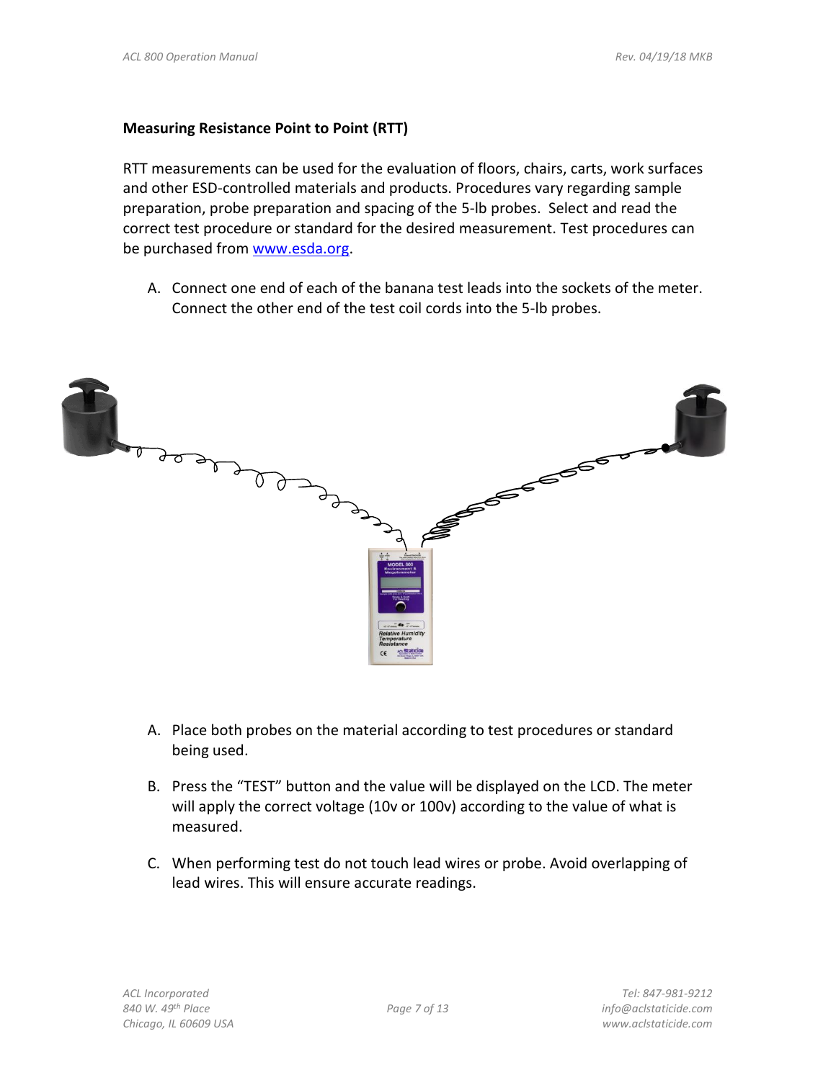#### **Measuring Resistance Point to Point (RTT)**

RTT measurements can be used for the evaluation of floors, chairs, carts, work surfaces and other ESD-controlled materials and products. Procedures vary regarding sample preparation, probe preparation and spacing of the 5-lb probes. Select and read the correct test procedure or standard for the desired measurement. Test procedures can be purchased from [www.esda.org.](http://www.esda.org/)

A. Connect one end of each of the banana test leads into the sockets of the meter. Connect the other end of the test coil cords into the 5-lb probes.



- A. Place both probes on the material according to test procedures or standard being used.
- B. Press the "TEST" button and the value will be displayed on the LCD. The meter will apply the correct voltage (10v or 100v) according to the value of what is measured.
- C. When performing test do not touch lead wires or probe. Avoid overlapping of lead wires. This will ensure accurate readings.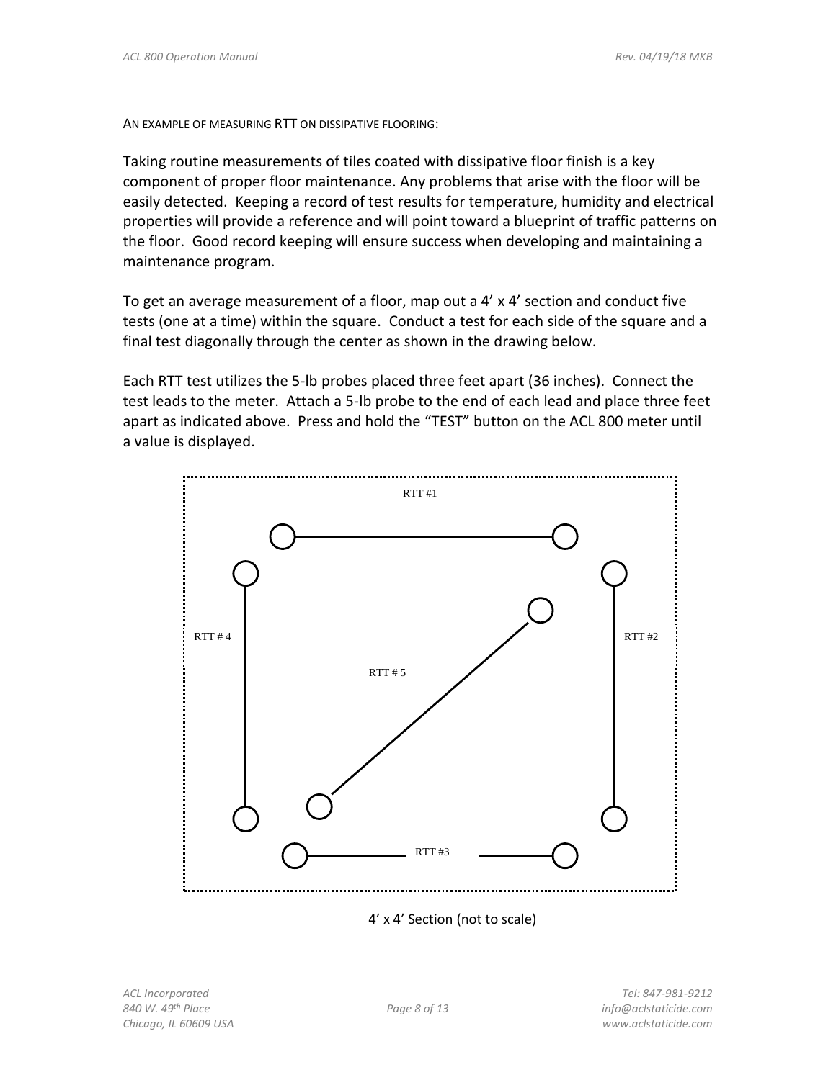AN EXAMPLE OF MEASURING RTT ON DISSIPATIVE FLOORING:

Taking routine measurements of tiles coated with dissipative floor finish is a key component of proper floor maintenance. Any problems that arise with the floor will be easily detected. Keeping a record of test results for temperature, humidity and electrical properties will provide a reference and will point toward a blueprint of traffic patterns on the floor. Good record keeping will ensure success when developing and maintaining a maintenance program.

To get an average measurement of a floor, map out a 4' x 4' section and conduct five tests (one at a time) within the square. Conduct a test for each side of the square and a final test diagonally through the center as shown in the drawing below.

Each RTT test utilizes the 5-lb probes placed three feet apart (36 inches). Connect the test leads to the meter. Attach a 5-lb probe to the end of each lead and place three feet apart as indicated above. Press and hold the "TEST" button on the ACL 800 meter until a value is displayed.



4' x 4' Section (not to scale)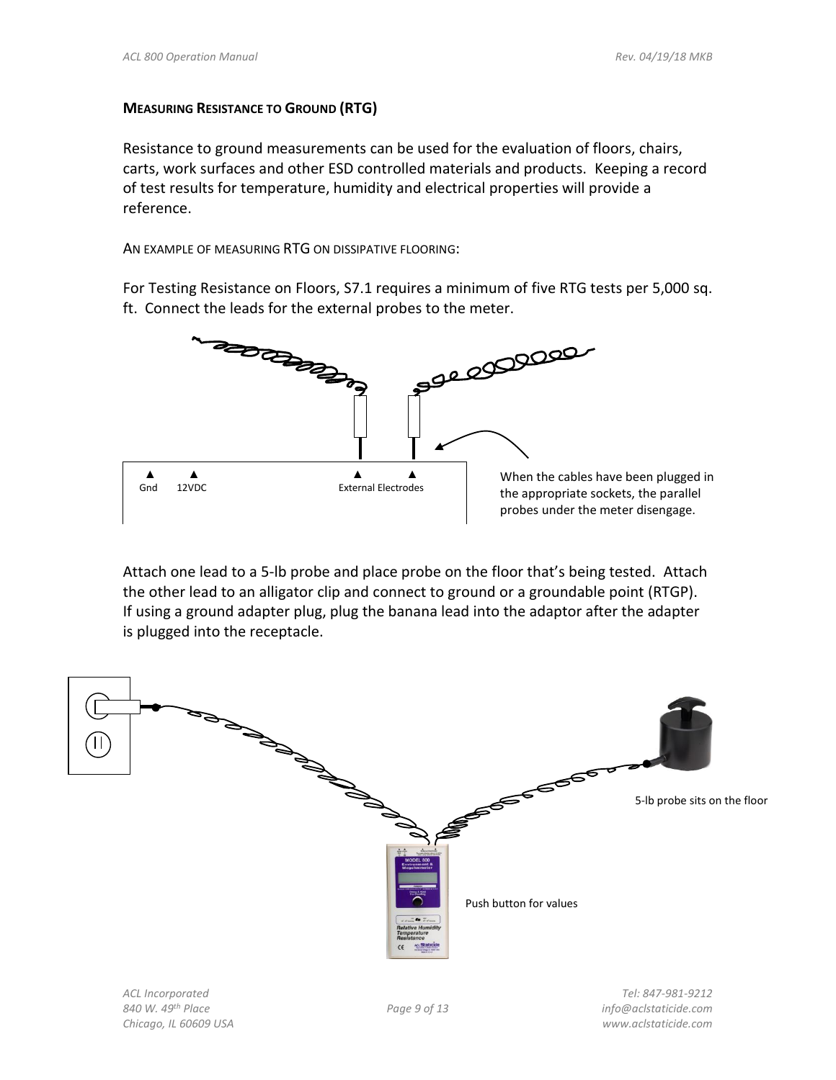#### **MEASURING RESISTANCE TO GROUND (RTG)**

Resistance to ground measurements can be used for the evaluation of floors, chairs, carts, work surfaces and other ESD controlled materials and products. Keeping a record of test results for temperature, humidity and electrical properties will provide a reference.

AN EXAMPLE OF MEASURING RTG ON DISSIPATIVE FLOORING:

For Testing Resistance on Floors, S7.1 requires a minimum of five RTG tests per 5,000 sq. ft. Connect the leads for the external probes to the meter.



Attach one lead to a 5-lb probe and place probe on the floor that's being tested. Attach the other lead to an alligator clip and connect to ground or a groundable point (RTGP). If using a ground adapter plug, plug the banana lead into the adaptor after the adapter is plugged into the receptacle.

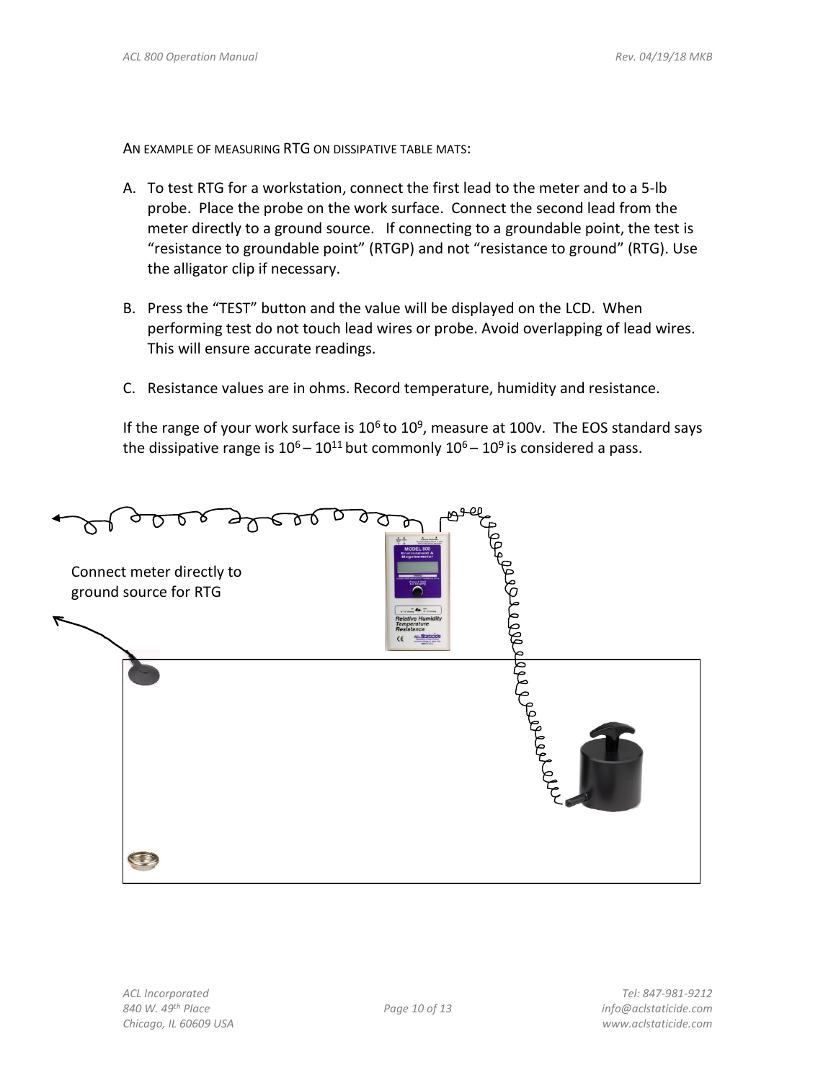AN EXAMPLE OF MEASURING RTG ON DISSIPATIVE TABLE MATS:

- A. To test RTG for a workstation, connect the first lead to the meter and to a 5-lb probe. Place the probe on the work surface. Connect the second lead from the meter directly to a ground source. If connecting to a groundable point, the test is "resistance to groundable point" (RTGP) and not "resistance to ground" (RTG). Use the alligator clip if necessary.
- B. Press the "TEST" button and the value will be displayed on the LCD. When performing test do not touch lead wires or probe. Avoid overlapping of lead wires. This will ensure accurate readings.
- C. Resistance values are in ohms. Record temperature, humidity and resistance.

If the range of your work surface is  $10^6$  to  $10^9$ , measure at 100v. The EOS standard says the dissipative range is  $10^6 - 10^{11}$  but commonly  $10^6 - 10^9$  is considered a pass.

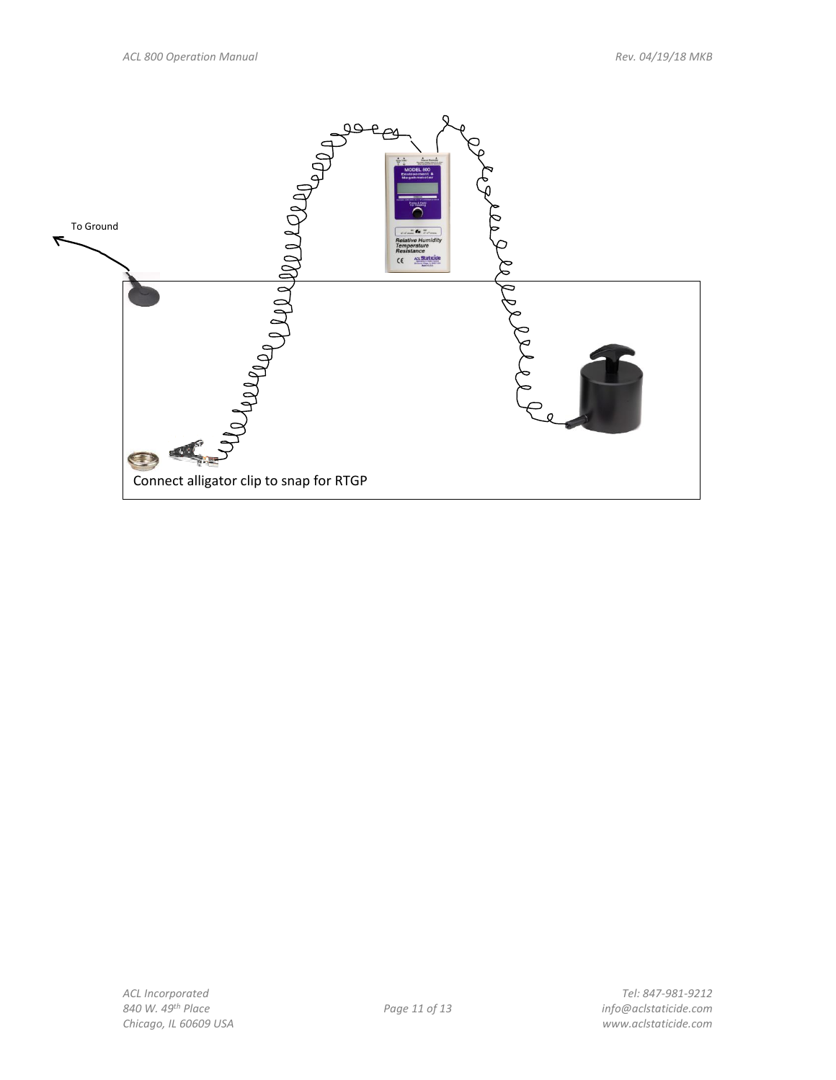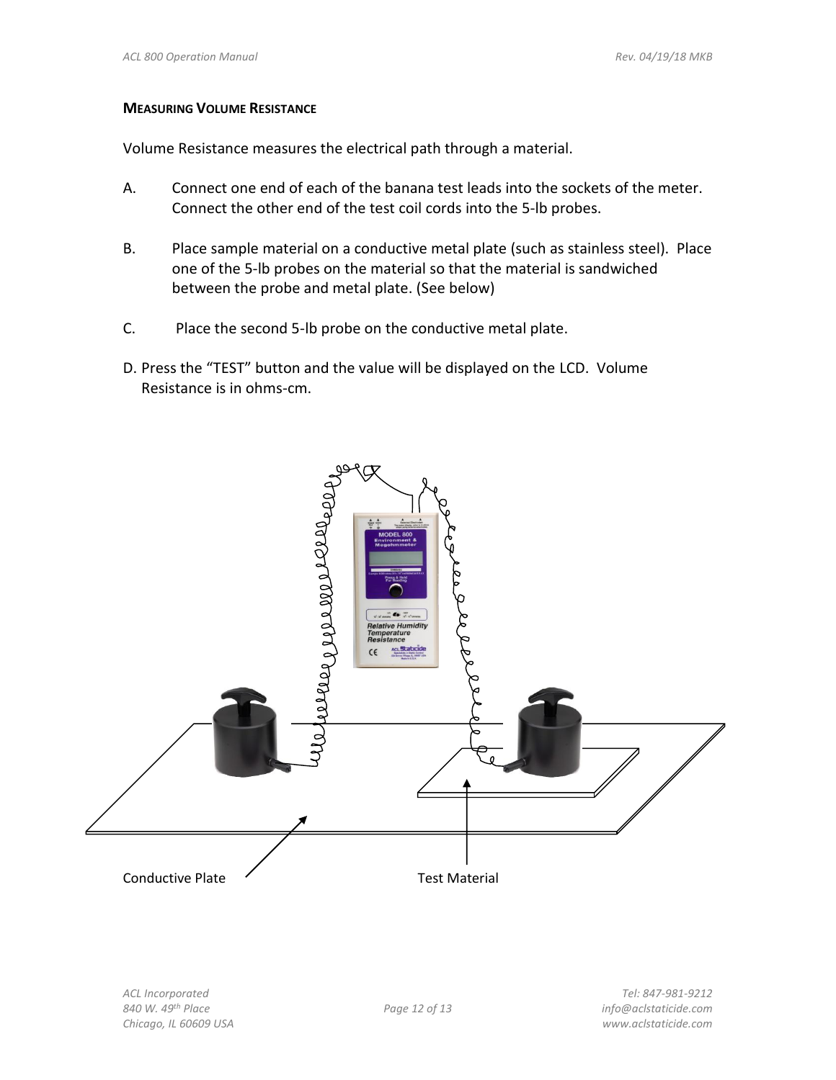#### **MEASURING VOLUME RESISTANCE**

Volume Resistance measures the electrical path through a material.

- A. Connect one end of each of the banana test leads into the sockets of the meter. Connect the other end of the test coil cords into the 5-lb probes.
- B. Place sample material on a conductive metal plate (such as stainless steel). Place one of the 5-lb probes on the material so that the material is sandwiched between the probe and metal plate. (See below)
- C. Place the second 5-lb probe on the conductive metal plate.
- D. Press the "TEST" button and the value will be displayed on the LCD. Volume Resistance is in ohms-cm.